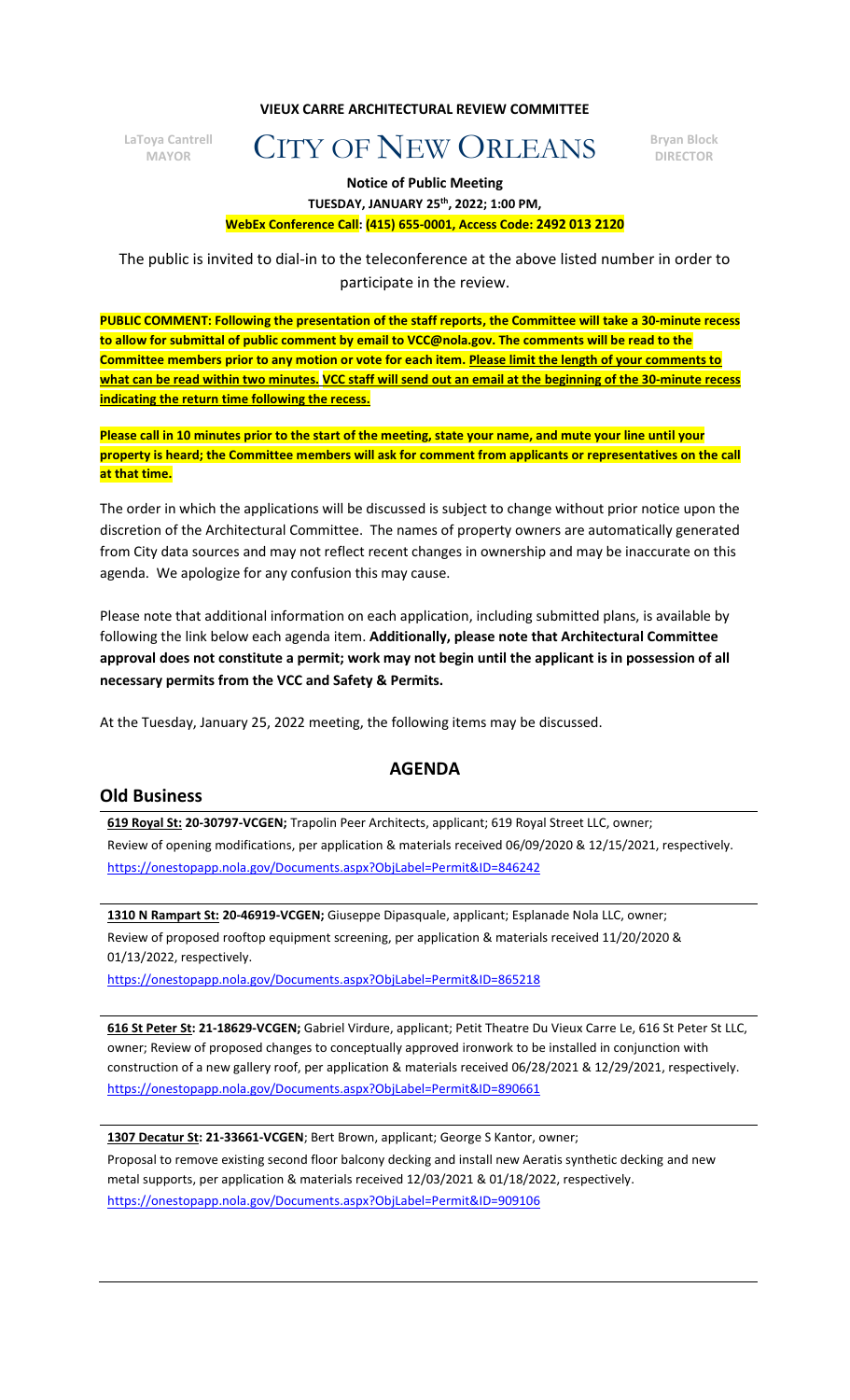**VIEUX CARRE ARCHITECTURAL REVIEW COMMITTEE**

**LaToya Cantrell**

# **MAYOR CONSTRANT CONSTRANT CONSTRANT CONSTRANT CONSTRANT CONSTRANT CONSTRANT CONSTRANT CONSTRANT CONSTRANT CONSTRANT CONSTRANT CONSTRANT CONSTRANT CONSTRANT CONSTRANT CONSTRANT CONSTRANT CONSTRANT CONSTRANT CONSTRANT CONST**

**DIRECTOR**

**Notice of Public Meeting**

#### **TUESDAY, JANUARY 25th, 2022; 1:00 PM, WebEx Conference Call: (415) 655-0001, Access Code: 2492 013 2120**

The public is invited to dial-in to the teleconference at the above listed number in order to participate in the review.

**PUBLIC COMMENT: Following the presentation of the staff reports, the Committee will take a 30-minute recess to allow for submittal of public comment by email to VCC@nola.gov. The comments will be read to the Committee members prior to any motion or vote for each item. Please limit the length of your comments to what can be read within two minutes. VCC staff will send out an email at the beginning of the 30-minute recess indicating the return time following the recess.**

**Please call in 10 minutes prior to the start of the meeting, state your name, and mute your line until your property is heard; the Committee members will ask for comment from applicants or representatives on the call at that time.**

The order in which the applications will be discussed is subject to change without prior notice upon the discretion of the Architectural Committee. The names of property owners are automatically generated from City data sources and may not reflect recent changes in ownership and may be inaccurate on this agenda. We apologize for any confusion this may cause.

Please note that additional information on each application, including submitted plans, is available by following the link below each agenda item. **Additionally, please note that Architectural Committee approval does not constitute a permit; work may not begin until the applicant is in possession of all necessary permits from the VCC and Safety & Permits.**

At the Tuesday, January 25, 2022 meeting, the following items may be discussed.

### **AGENDA**

### **Old Business**

**619 Royal St: 20-30797-VCGEN;** Trapolin Peer Architects, applicant; 619 Royal Street LLC, owner; Review of opening modifications, per application & materials received 06/09/2020 & 12/15/2021, respectively. <https://onestopapp.nola.gov/Documents.aspx?ObjLabel=Permit&ID=846242>

**1310 N Rampart St: 20-46919-VCGEN;** Giuseppe Dipasquale, applicant; Esplanade Nola LLC, owner; Review of proposed rooftop equipment screening, per application & materials received 11/20/2020 & 01/13/2022, respectively.

<https://onestopapp.nola.gov/Documents.aspx?ObjLabel=Permit&ID=865218>

**616 St Peter St: 21-18629-VCGEN;** Gabriel Virdure, applicant; Petit Theatre Du Vieux Carre Le, 616 St Peter St LLC, owner; Review of proposed changes to conceptually approved ironwork to be installed in conjunction with construction of a new gallery roof, per application & materials received 06/28/2021 & 12/29/2021, respectively. <https://onestopapp.nola.gov/Documents.aspx?ObjLabel=Permit&ID=890661>

**1307 Decatur St: 21-33661-VCGEN**; Bert Brown, applicant; George S Kantor, owner; Proposal to remove existing second floor balcony decking and install new Aeratis synthetic decking and new metal supports, per application & materials received 12/03/2021 & 01/18/2022, respectively. <https://onestopapp.nola.gov/Documents.aspx?ObjLabel=Permit&ID=909106>